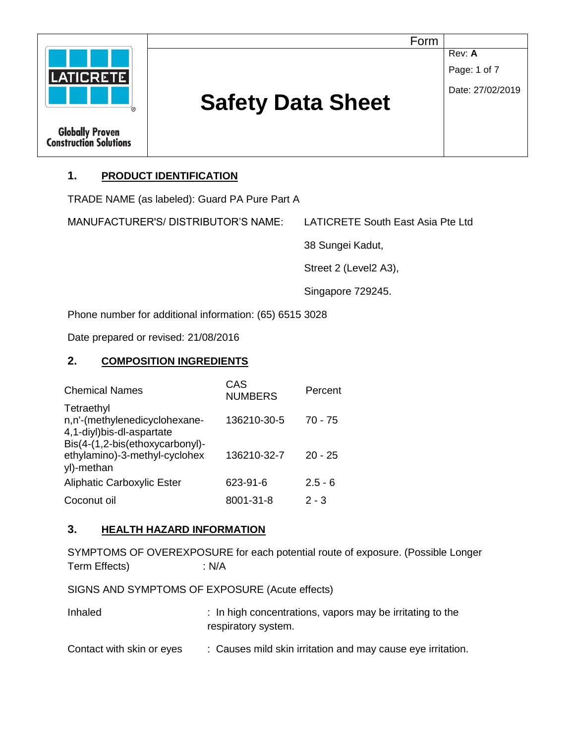| Form<br>Rev: A<br>Page: 1 of 7<br><b>LATICRETE</b><br>Date: 27/02/2019<br><b>Safety Data Sheet</b><br>(R) |
|-----------------------------------------------------------------------------------------------------------|
| <b>Globally Proven<br/>Construction Solutions</b>                                                         |

## **1. PRODUCT IDENTIFICATION**

TRADE NAME (as labeled): Guard PA Pure Part A

MANUFACTURER'S/ DISTRIBUTOR'S NAME: LATICRETE South East Asia Pte Ltd

38 Sungei Kadut,

Street 2 (Level2 A3),

Singapore 729245.

Phone number for additional information: (65) 6515 3028

Date prepared or revised: 21/08/2016

#### **2. COMPOSITION INGREDIENTS**

| <b>Chemical Names</b>                                                          | CAS<br><b>NUMBERS</b> | Percent   |
|--------------------------------------------------------------------------------|-----------------------|-----------|
| Tetraethyl<br>n,n'-(methylenedicyclohexane-<br>4,1-diyl)bis-dl-aspartate       | 136210-30-5           | $70 - 75$ |
| Bis(4-(1,2-bis(ethoxycarbonyl)-<br>ethylamino)-3-methyl-cyclohex<br>yl)-methan | 136210-32-7           | $20 - 25$ |
| Aliphatic Carboxylic Ester                                                     | 623-91-6              | $2.5 - 6$ |
| Coconut oil                                                                    | 8001-31-8             | $2 - 3$   |

#### **3. HEALTH HAZARD INFORMATION**

SYMPTOMS OF OVEREXPOSURE for each potential route of exposure. (Possible Longer Term Effects) : N/A

SIGNS AND SYMPTOMS OF EXPOSURE (Acute effects)

| Inhaled                   | : In high concentrations, vapors may be irritating to the<br>respiratory system. |  |
|---------------------------|----------------------------------------------------------------------------------|--|
| Contact with skin or eyes | : Causes mild skin irritation and may cause eye irritation.                      |  |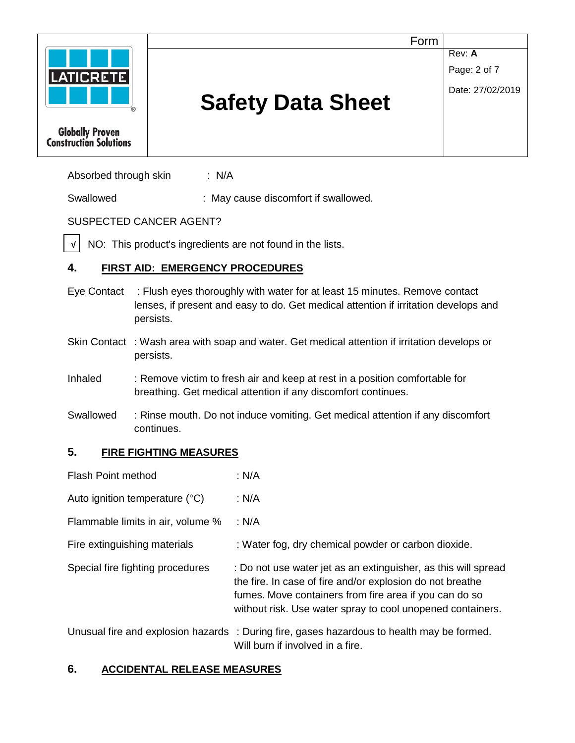

**Globally Proven Construction Solutions**  Form

**Rev: A** 

Page: 2 of 7

Date: 27/02/2019

# **Safety Data Sheet**

Absorbed through skin : N/A

Swallowed : May cause discomfort if swallowed.

# SUSPECTED CANCER AGENT?

 NO: This product's ingredients are not found in the lists. √

# **4. FIRST AID: EMERGENCY PROCEDURES**

- Eye Contact : Flush eyes thoroughly with water for at least 15 minutes. Remove contact lenses, if present and easy to do. Get medical attention if irritation develops and persists.
- Skin Contact : Wash area with soap and water. Get medical attention if irritation develops or persists.
- Inhaled : Remove victim to fresh air and keep at rest in a position comfortable for breathing. Get medical attention if any discomfort continues.
- Swallowed : Rinse mouth. Do not induce vomiting. Get medical attention if any discomfort continues.

## **5. FIRE FIGHTING MEASURES**

- Flash Point method : N/A Auto ignition temperature (°C) : N/A Flammable limits in air, volume % : N/A Fire extinguishing materials : Water fog, dry chemical powder or carbon dioxide. Special fire fighting procedures : Do not use water jet as an extinguisher, as this will spread the fire. In case of fire and/or explosion do not breathe fumes. Move containers from fire area if you can do so without risk. Use water spray to cool unopened containers. Unusual fire and explosion hazards : During fire, gases hazardous to health may be formed.
	- Will burn if involved in a fire.

# **6. ACCIDENTAL RELEASE MEASURES**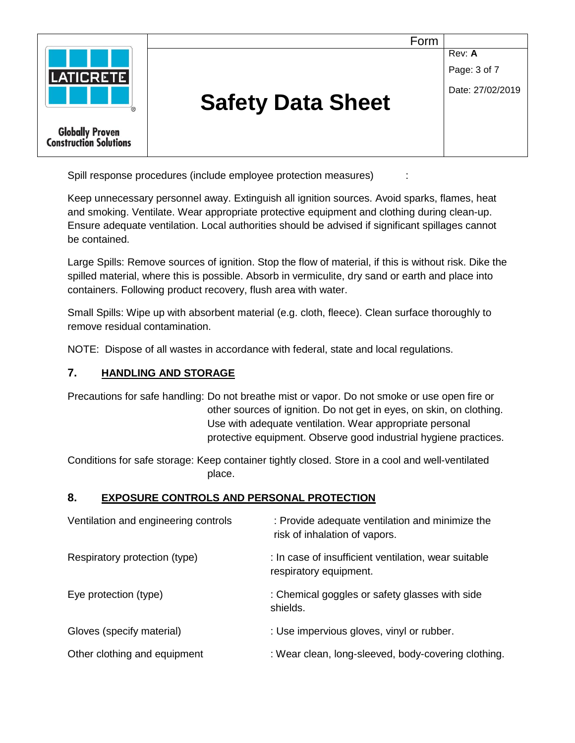

Spill response procedures (include employee protection measures) :

Keep unnecessary personnel away. Extinguish all ignition sources. Avoid sparks, flames, heat and smoking. Ventilate. Wear appropriate protective equipment and clothing during clean-up. Ensure adequate ventilation. Local authorities should be advised if significant spillages cannot be contained.

Large Spills: Remove sources of ignition. Stop the flow of material, if this is without risk. Dike the spilled material, where this is possible. Absorb in vermiculite, dry sand or earth and place into containers. Following product recovery, flush area with water.

Small Spills: Wipe up with absorbent material (e.g. cloth, fleece). Clean surface thoroughly to remove residual contamination.

NOTE: Dispose of all wastes in accordance with federal, state and local regulations.

#### **7. HANDLING AND STORAGE**

Precautions for safe handling: Do not breathe mist or vapor. Do not smoke or use open fire or other sources of ignition. Do not get in eyes, on skin, on clothing. Use with adequate ventilation. Wear appropriate personal protective equipment. Observe good industrial hygiene practices.

Conditions for safe storage: Keep container tightly closed. Store in a cool and well-ventilated place.

#### **8. EXPOSURE CONTROLS AND PERSONAL PROTECTION**

| Ventilation and engineering controls | : Provide adequate ventilation and minimize the<br>risk of inhalation of vapors. |
|--------------------------------------|----------------------------------------------------------------------------------|
| Respiratory protection (type)        | : In case of insufficient ventilation, wear suitable<br>respiratory equipment.   |
| Eye protection (type)                | : Chemical goggles or safety glasses with side<br>shields.                       |
| Gloves (specify material)            | : Use impervious gloves, vinyl or rubber.                                        |
| Other clothing and equipment         | : Wear clean, long-sleeved, body-covering clothing.                              |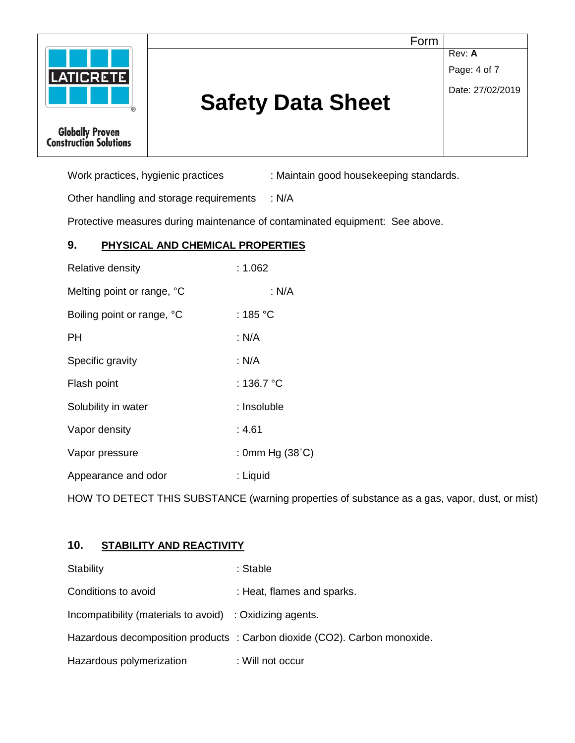|                                                         | Form                     |                        |
|---------------------------------------------------------|--------------------------|------------------------|
| <b>LATICRETE</b>                                        |                          | Rev: A<br>Page: 4 of 7 |
|                                                         | <b>Safety Data Sheet</b> | Date: 27/02/2019       |
| <b>Globally Proven</b><br><b>Construction Solutions</b> |                          |                        |

Work practices, hygienic practices : Maintain good housekeeping standards.

Other handling and storage requirements : N/A

Protective measures during maintenance of contaminated equipment: See above.

## **9. PHYSICAL AND CHEMICAL PROPERTIES**

| Relative density           | :1.062                   |
|----------------------------|--------------------------|
| Melting point or range, °C | : N/A                    |
| Boiling point or range, °C | : 185 °C                 |
| PН                         | : N/A                    |
| Specific gravity           | : N/A                    |
| Flash point                | : 136.7 °C               |
| Solubility in water        | : Insoluble              |
| Vapor density              | : 4.61                   |
| Vapor pressure             | : 0mm Hg $(38^{\circ}C)$ |
| Appearance and odor        | : Liquid                 |

HOW TO DETECT THIS SUBSTANCE (warning properties of substance as a gas, vapor, dust, or mist)

## **10. STABILITY AND REACTIVITY**

| Stability                                                | : Stable                                                                  |
|----------------------------------------------------------|---------------------------------------------------------------------------|
| Conditions to avoid                                      | : Heat, flames and sparks.                                                |
| Incompatibility (materials to avoid) : Oxidizing agents. |                                                                           |
|                                                          | Hazardous decomposition products : Carbon dioxide (CO2). Carbon monoxide. |
| Hazardous polymerization                                 | : Will not occur                                                          |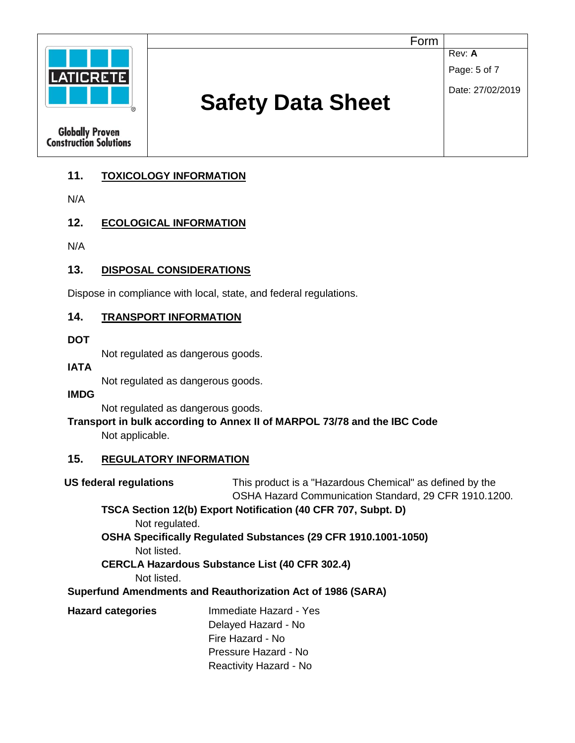

## **11. TOXICOLOGY INFORMATION**

N/A

#### **12. ECOLOGICAL INFORMATION**

N/A

## **13. DISPOSAL CONSIDERATIONS**

Dispose in compliance with local, state, and federal regulations.

#### **14. TRANSPORT INFORMATION**

**DOT** 

Not regulated as dangerous goods.

**IATA** 

Not regulated as dangerous goods.

**IMDG** 

Not regulated as dangerous goods.

#### **Transport in bulk according to Annex II of MARPOL 73/78 and the IBC Code** Not applicable.

#### **15. REGULATORY INFORMATION**

| <b>US federal regulations</b> | This product is a "Hazardous Chemical" as defined by the       |
|-------------------------------|----------------------------------------------------------------|
|                               | OSHA Hazard Communication Standard, 29 CFR 1910.1200.          |
|                               | TSCA Section 12(b) Export Notification (40 CFR 707, Subpt. D)  |
| Not regulated.                |                                                                |
|                               | OSHA Specifically Regulated Substances (29 CFR 1910.1001-1050) |
| Not listed.                   |                                                                |
|                               | <b>CERCLA Hazardous Substance List (40 CFR 302.4)</b>          |
| Not listed.                   |                                                                |
|                               | Superfund Amendments and Reauthorization Act of 1986 (SARA)    |
| <b>Hazard categories</b>      | Immediate Hazard - Yes                                         |
|                               | Delayed Hazard - No                                            |
|                               | Fire Hazard - No                                               |
|                               | Pressure Hazard - No                                           |
|                               | Reactivity Hazard - No                                         |
|                               |                                                                |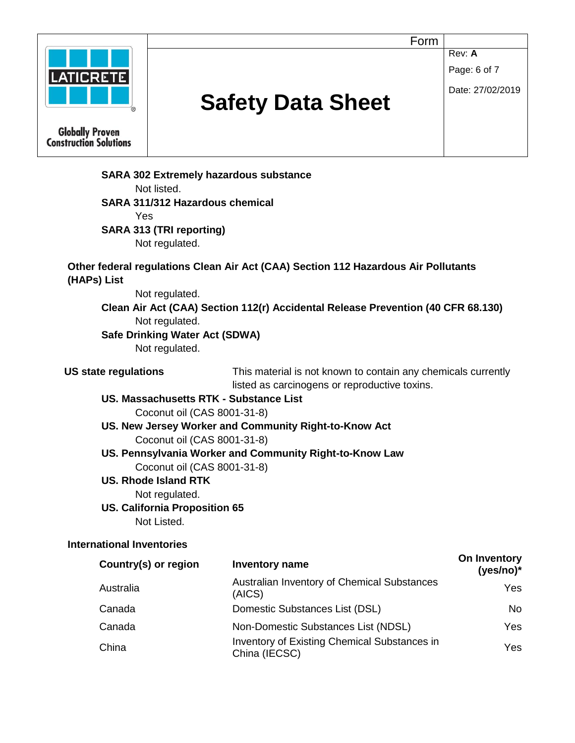

Not regulated.

**Clean Air Act (CAA) Section 112(r) Accidental Release Prevention (40 CFR 68.130)**  Not regulated.

#### **Safe Drinking Water Act (SDWA)**

Not regulated.

**US state regulations** This material is not known to contain any chemicals currently listed as carcinogens or reproductive toxins.

**US. Massachusetts RTK - Substance List**  Coconut oil (CAS 8001-31-8)

**US. New Jersey Worker and Community Right-to-Know Act**  Coconut oil (CAS 8001-31-8)

**US. Pennsylvania Worker and Community Right-to-Know Law**  Coconut oil (CAS 8001-31-8)

#### **US. Rhode Island RTK**

Not regulated.

#### **US. California Proposition 65**

Not Listed.

#### **International Inventories**

| Country(s) or region | <b>Inventory name</b>                                                | On Inventory<br>$(yes/no)*$ |
|----------------------|----------------------------------------------------------------------|-----------------------------|
| Australia            | Australian Inventory of Chemical Substances<br>(AICS)                | <b>Yes</b>                  |
| Canada               | Domestic Substances List (DSL)                                       | No.                         |
| Canada               | Non-Domestic Substances List (NDSL)                                  | Yes.                        |
| China                | <b>Inventory of Existing Chemical Substances in</b><br>China (IECSC) | Yes                         |